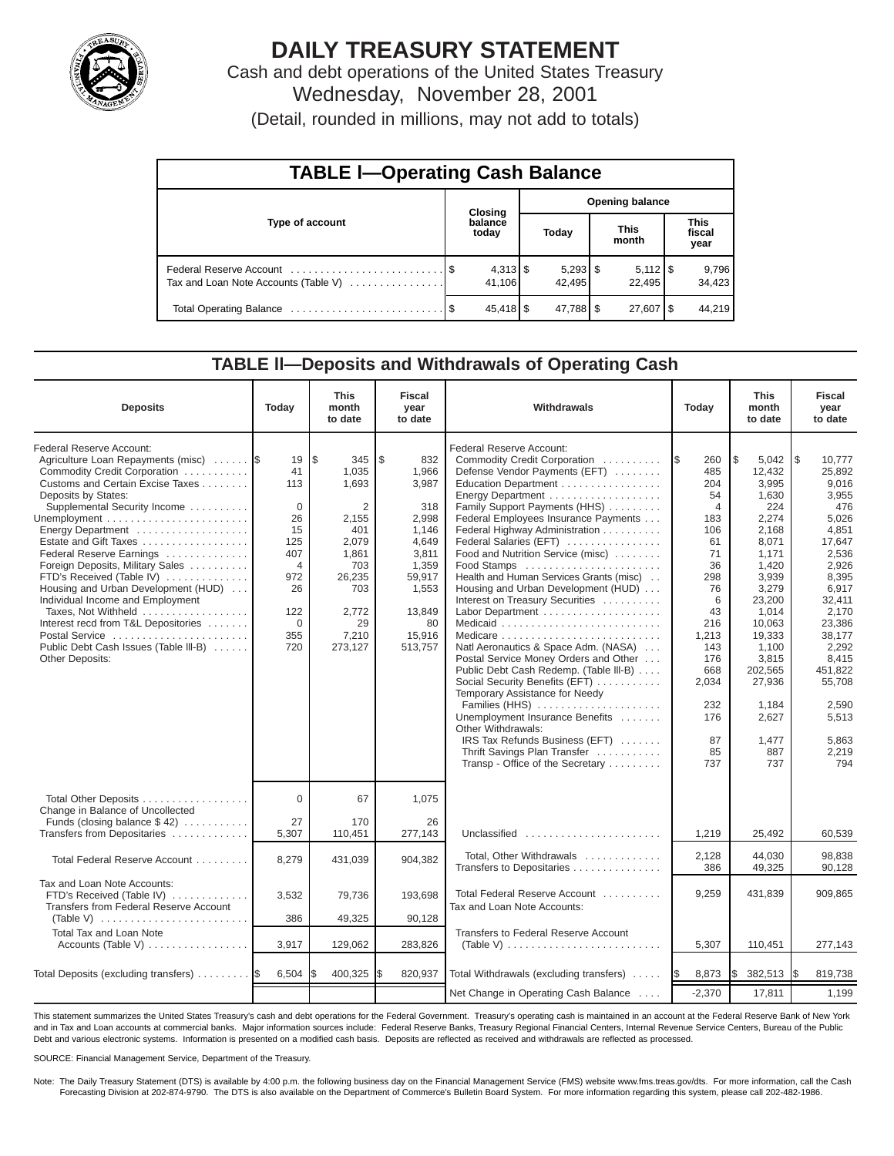

# **DAILY TREASURY STATEMENT**

Cash and debt operations of the United States Treasury Wednesday, November 28, 2001

(Detail, rounded in millions, may not add to totals)

| <b>TABLE I-Operating Cash Balance</b> |         |                      |       |                      |                      |                              |                               |                 |  |  |
|---------------------------------------|---------|----------------------|-------|----------------------|----------------------|------------------------------|-------------------------------|-----------------|--|--|
|                                       | Closing |                      |       |                      |                      | <b>Opening balance</b>       |                               |                 |  |  |
| Type of account                       |         | balance<br>today     | Today |                      | <b>This</b><br>month |                              | <b>This</b><br>fiscal<br>year |                 |  |  |
| Tax and Loan Note Accounts (Table V)  |         | $4,313$ \$<br>41.106 |       | $5,293$ \$<br>42.495 |                      | $5,112$ $\sqrt{5}$<br>22.495 |                               | 9,796<br>34,423 |  |  |
|                                       |         | 45,418 \$            |       | 47,788 \$            |                      | 27,607   \$                  |                               | 44.219          |  |  |

#### **TABLE ll—Deposits and Withdrawals of Operating Cash**

| <b>Deposits</b>                                                                                                                                                                                                                                                                                                                                                                                                                                                                                                                                             | Today                                                                                                                    | <b>This</b><br>month<br>to date                                                                                                | <b>Fiscal</b><br>year<br>to date                                                                                                          | Withdrawals                                                                                                                                                                                                                                                                                                                                                                                                                                                                                                                                                                                                                                                                                                                                                                                                                                              | Today                                                                                                                                                                                   | <b>This</b><br>month<br>to date                                                                                                                                                                                                      | <b>Fiscal</b><br>year<br>to date                                                                                                                                                                                                           |
|-------------------------------------------------------------------------------------------------------------------------------------------------------------------------------------------------------------------------------------------------------------------------------------------------------------------------------------------------------------------------------------------------------------------------------------------------------------------------------------------------------------------------------------------------------------|--------------------------------------------------------------------------------------------------------------------------|--------------------------------------------------------------------------------------------------------------------------------|-------------------------------------------------------------------------------------------------------------------------------------------|----------------------------------------------------------------------------------------------------------------------------------------------------------------------------------------------------------------------------------------------------------------------------------------------------------------------------------------------------------------------------------------------------------------------------------------------------------------------------------------------------------------------------------------------------------------------------------------------------------------------------------------------------------------------------------------------------------------------------------------------------------------------------------------------------------------------------------------------------------|-----------------------------------------------------------------------------------------------------------------------------------------------------------------------------------------|--------------------------------------------------------------------------------------------------------------------------------------------------------------------------------------------------------------------------------------|--------------------------------------------------------------------------------------------------------------------------------------------------------------------------------------------------------------------------------------------|
| Federal Reserve Account:<br>Agriculture Loan Repayments (misc)<br>Commodity Credit Corporation<br>Customs and Certain Excise Taxes<br>Deposits by States:<br>Supplemental Security Income<br>Energy Department<br>Estate and Gift Taxes<br>Federal Reserve Earnings<br>Foreign Deposits, Military Sales<br>FTD's Received (Table IV)<br>Housing and Urban Development (HUD)<br>Individual Income and Employment<br>Taxes, Not Withheld<br>Interest recd from T&L Depositories<br>Postal Service<br>Public Debt Cash Issues (Table III-B)<br>Other Deposits: | 19<br>41<br>113<br>$\Omega$<br>26<br>15<br>125<br>407<br>$\overline{4}$<br>972<br>26<br>122<br>$\mathbf 0$<br>355<br>720 | l\$<br>345<br>1,035<br>1,693<br>2<br>2,155<br>401<br>2,079<br>1,861<br>703<br>26,235<br>703<br>2,772<br>29<br>7,210<br>273,127 | l \$<br>832<br>1,966<br>3,987<br>318<br>2,998<br>1,146<br>4,649<br>3,811<br>1,359<br>59,917<br>1,553<br>13,849<br>80<br>15,916<br>513,757 | Federal Reserve Account:<br>Commodity Credit Corporation<br>Defense Vendor Payments (EFT)<br>Education Department<br>Energy Department<br>Family Support Payments (HHS)<br>Federal Employees Insurance Payments<br>Federal Highway Administration<br>Federal Salaries (EFT)<br>Food and Nutrition Service (misc)<br>Food Stamps<br>Health and Human Services Grants (misc)<br>Housing and Urban Development (HUD)<br>Interest on Treasury Securities<br>Labor Department<br>Natl Aeronautics & Space Adm. (NASA)<br>Postal Service Money Orders and Other<br>Public Debt Cash Redemp. (Table III-B)<br>Social Security Benefits (EFT)<br>Temporary Assistance for Needy<br>Families (HHS)<br>Unemployment Insurance Benefits<br>Other Withdrawals:<br>IRS Tax Refunds Business (EFT)<br>Thrift Savings Plan Transfer<br>Transp - Office of the Secretary | 1\$<br>260<br>485<br>204<br>54<br>$\overline{4}$<br>183<br>106<br>61<br>71<br>36<br>298<br>76<br>6<br>43<br>216<br>1,213<br>143<br>176<br>668<br>2,034<br>232<br>176<br>87<br>85<br>737 | \$<br>5,042<br>12,432<br>3,995<br>1,630<br>224<br>2,274<br>2,168<br>8,071<br>1,171<br>1,420<br>3,939<br>3,279<br>23,200<br>1,014<br>10,063<br>19,333<br>1,100<br>3,815<br>202,565<br>27,936<br>1.184<br>2,627<br>1,477<br>887<br>737 | l \$<br>10,777<br>25.892<br>9,016<br>3,955<br>476<br>5,026<br>4,851<br>17,647<br>2,536<br>2,926<br>8,395<br>6,917<br>32,411<br>2,170<br>23,386<br>38,177<br>2,292<br>8,415<br>451,822<br>55.708<br>2.590<br>5,513<br>5,863<br>2,219<br>794 |
| Total Other Deposits<br>Change in Balance of Uncollected<br>Funds (closing balance $$42$ )                                                                                                                                                                                                                                                                                                                                                                                                                                                                  | $\Omega$<br>27                                                                                                           | 67<br>170                                                                                                                      | 1,075<br>26                                                                                                                               |                                                                                                                                                                                                                                                                                                                                                                                                                                                                                                                                                                                                                                                                                                                                                                                                                                                          |                                                                                                                                                                                         |                                                                                                                                                                                                                                      |                                                                                                                                                                                                                                            |
| Transfers from Depositaries                                                                                                                                                                                                                                                                                                                                                                                                                                                                                                                                 | 5,307                                                                                                                    | 110,451                                                                                                                        | 277,143                                                                                                                                   | Unclassified                                                                                                                                                                                                                                                                                                                                                                                                                                                                                                                                                                                                                                                                                                                                                                                                                                             | 1,219                                                                                                                                                                                   | 25,492                                                                                                                                                                                                                               | 60,539                                                                                                                                                                                                                                     |
| Total Federal Reserve Account                                                                                                                                                                                                                                                                                                                                                                                                                                                                                                                               | 8,279                                                                                                                    | 431,039                                                                                                                        | 904,382                                                                                                                                   | Total, Other Withdrawals<br>Transfers to Depositaries                                                                                                                                                                                                                                                                                                                                                                                                                                                                                                                                                                                                                                                                                                                                                                                                    | 2,128<br>386                                                                                                                                                                            | 44.030<br>49,325                                                                                                                                                                                                                     | 98.838<br>90,128                                                                                                                                                                                                                           |
| Tax and Loan Note Accounts:<br>FTD's Received (Table IV)<br>Transfers from Federal Reserve Account                                                                                                                                                                                                                                                                                                                                                                                                                                                          | 3,532                                                                                                                    | 79,736                                                                                                                         | 193,698                                                                                                                                   | Total Federal Reserve Account<br>Tax and Loan Note Accounts:                                                                                                                                                                                                                                                                                                                                                                                                                                                                                                                                                                                                                                                                                                                                                                                             | 9,259                                                                                                                                                                                   | 431,839                                                                                                                                                                                                                              | 909,865                                                                                                                                                                                                                                    |
| (Table V) $\ldots \ldots \ldots \ldots \ldots \ldots \ldots$                                                                                                                                                                                                                                                                                                                                                                                                                                                                                                | 386                                                                                                                      | 49,325                                                                                                                         | 90,128                                                                                                                                    |                                                                                                                                                                                                                                                                                                                                                                                                                                                                                                                                                                                                                                                                                                                                                                                                                                                          |                                                                                                                                                                                         |                                                                                                                                                                                                                                      |                                                                                                                                                                                                                                            |
| <b>Total Tax and Loan Note</b><br>Accounts (Table V)                                                                                                                                                                                                                                                                                                                                                                                                                                                                                                        | 3,917                                                                                                                    | 129,062                                                                                                                        | 283,826                                                                                                                                   | Transfers to Federal Reserve Account<br>(Table V) $\ldots \ldots \ldots \ldots \ldots \ldots \ldots \ldots$                                                                                                                                                                                                                                                                                                                                                                                                                                                                                                                                                                                                                                                                                                                                              | 5,307                                                                                                                                                                                   | 110,451                                                                                                                                                                                                                              | 277,143                                                                                                                                                                                                                                    |
| Total Deposits (excluding transfers)                                                                                                                                                                                                                                                                                                                                                                                                                                                                                                                        | 6,504                                                                                                                    | 400,325                                                                                                                        | 820,937                                                                                                                                   | Total Withdrawals (excluding transfers)                                                                                                                                                                                                                                                                                                                                                                                                                                                                                                                                                                                                                                                                                                                                                                                                                  | 8,873<br><b>IS</b>                                                                                                                                                                      | l\$<br>382,513                                                                                                                                                                                                                       | 819,738<br>I\$                                                                                                                                                                                                                             |
|                                                                                                                                                                                                                                                                                                                                                                                                                                                                                                                                                             |                                                                                                                          |                                                                                                                                |                                                                                                                                           | Net Change in Operating Cash Balance                                                                                                                                                                                                                                                                                                                                                                                                                                                                                                                                                                                                                                                                                                                                                                                                                     | $-2,370$                                                                                                                                                                                | 17,811                                                                                                                                                                                                                               | 1,199                                                                                                                                                                                                                                      |

This statement summarizes the United States Treasury's cash and debt operations for the Federal Government. Treasury's operating cash is maintained in an account at the Federal Reserve Bank of New York and in Tax and Loan accounts at commercial banks. Major information sources include: Federal Reserve Banks, Treasury Regional Financial Centers, Internal Revenue Service Centers, Bureau of the Public Debt and various electronic systems. Information is presented on a modified cash basis. Deposits are reflected as received and withdrawals are reflected as processed.

SOURCE: Financial Management Service, Department of the Treasury.

Note: The Daily Treasury Statement (DTS) is available by 4:00 p.m. the following business day on the Financial Management Service (FMS) website www.fms.treas.gov/dts. For more information, call the Cash Forecasting Division at 202-874-9790. The DTS is also available on the Department of Commerce's Bulletin Board System. For more information regarding this system, please call 202-482-1986.